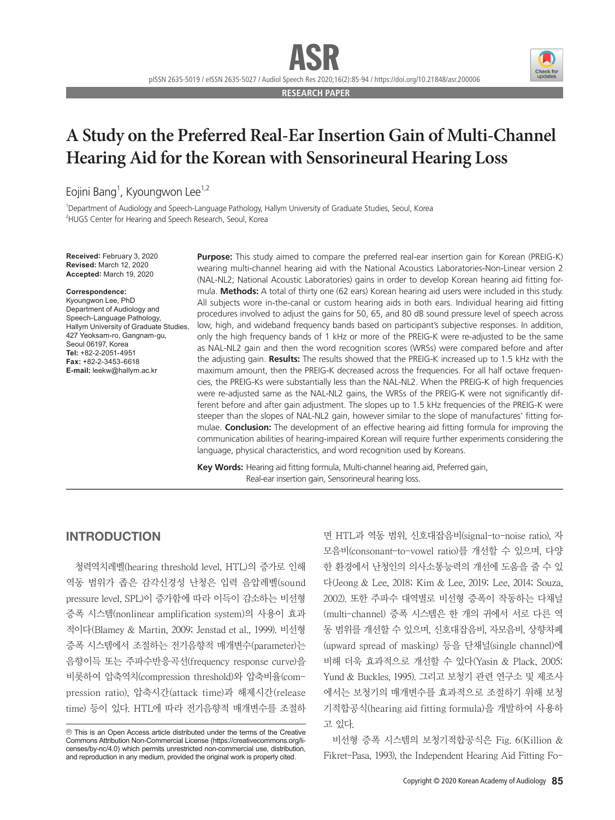**RESEARCH PAPER**

# **A Study on the Preferred Real-Ear Insertion Gain of Multi-Channel Hearing Aid for the Korean with Sensorineural Hearing Loss**

Eojini Bang<sup>1</sup>, Kyoungwon Lee<sup>1,2</sup>

1 Department of Audiology and Speech-Language Pathology, Hallym University of Graduate Studies, Seoul, Korea <sup>2</sup>HUGS Center for Hearing and Speech Research, Seoul, Korea

**Received:** February 3, 2020 **Revised:** March 12, 2020 **Accepted:** March 19, 2020

#### **Correspondence:**

Kyoungwon Lee, PhD Department of Audiology and Speech-Language Pathology, Hallym University of Graduate Studies, 427 Yeoksam-ro, Gangnam-gu, Seoul 06197, Korea **Tel:** +82-2-2051-4951 **Fax:** +82-2-3453-6618 **E-mail:** leekw@hallym.ac.kr

**Purpose:** This study aimed to compare the preferred real-ear insertion gain for Korean (PREIG-K) wearing multi-channel hearing aid with the National Acoustics Laboratories-Non-Linear version 2 (NAL-NL2; National Acoustic Laboratories) gains in order to develop Korean hearing aid fitting formula. **Methods:** A total of thirty one (62 ears) Korean hearing aid users were included in this study. All subjects wore in-the-canal or custom hearing aids in both ears. Individual hearing aid fitting procedures involved to adjust the gains for 50, 65, and 80 dB sound pressure level of speech across low, high, and wideband frequency bands based on participant's subjective responses. In addition, only the high frequency bands of 1 kHz or more of the PREIG-K were re-adjusted to be the same as NAL-NL2 gain and then the word recognition scores (WRSs) were compared before and after the adjusting gain. **Results:** The results showed that the PREIG-K increased up to 1.5 kHz with the maximum amount, then the PREIG-K decreased across the frequencies. For all half octave frequencies, the PREIG-Ks were substantially less than the NAL-NL2. When the PREIG-K of high frequencies were re-adjusted same as the NAL-NL2 gains, the WRSs of the PREIG-K were not significantly different before and after gain adjustment. The slopes up to 1.5 kHz frequencies of the PREIG-K were steeper than the slopes of NAL-NL2 gain, however similar to the slope of manufactures' fitting formulae. **Conclusion:** The development of an effective hearing aid fitting formula for improving the communication abilities of hearing-impaired Korean will require further experiments considering the language, physical characteristics, and word recognition used by Koreans.

**Key Words:** Hearing aid fitting formula, Multi-channel hearing aid, Preferred gain, Real-ear insertion gain, Sensorineural hearing loss.

### INTRODUCTION

청력역치레벨(hearing threshold level, HTL)의 증가로 인해 역동 범위가 좁은 감각신경성 난청은 입력 음압레벨(sound pressure level, SPL)이 증가함에 따라 이득이 감소하는 비선형 증폭 시스템(nonlinear amplification system)의 사용이 효과 적이다(Blamey & Martin, 2009; Jenstad et al., 1999). 비선형 증폭 시스템에서 조절하는 전기음향적 매개변수(parameter)는 음향이득 또는 주파수반응곡선(frequency response curve)을 비롯하여 압축역치(compression threshold)와 압축비율(compression ratio), 압축시간(attack time)과 해제시간(release time) 등이 있다. HTL에 따라 전기음향적 매개변수를 조절하 면 HTL과 역동 범위, 신호대잡음비(signal-to-noise ratio), 자 모음비(consonant-to-vowel ratio)를 개선할 수 있으며, 다양 한 환경에서 난청인의 의사소통능력의 개선에 도움을 줄 수 있 다(Jeong & Lee, 2018; Kim & Lee, 2019; Lee, 2014; Souza, 2002). 또한 주파수 대역별로 비선형 증폭이 작동하는 다채널 (multi-channel) 증폭 시스템은 한 개의 귀에서 서로 다른 역 동 범위를 개선할 수 있으며, 신호대잡음비, 자모음비, 상향차폐 (upward spread of masking) 등을 단채널(single channel)에 비해 더욱 효과적으로 개선할 수 있다(Yasin & Plack, 2005; Yund & Buckles, 1995). 그리고 보청기 관련 연구소 및 제조사 에서는 보청기의 매개변수를 효과적으로 조절하기 위해 보청 기적합공식(hearing aid fitting formula)을 개발하여 사용하 고 있다.

비선형 증폭 시스템의 보청기적합공식은 Fig. 6(Killion & Fikret-Pasa, 1993), the Independent Hearing Aid Fitting Fo-



cc This is an Open Access article distributed under the terms of the Creative Commons Attribution Non-Commercial License (https://creativecommons.org/licenses/by-nc/4.0) which permits unrestricted non-commercial use, distribution, and reproduction in any medium, provided the original work is properly cited.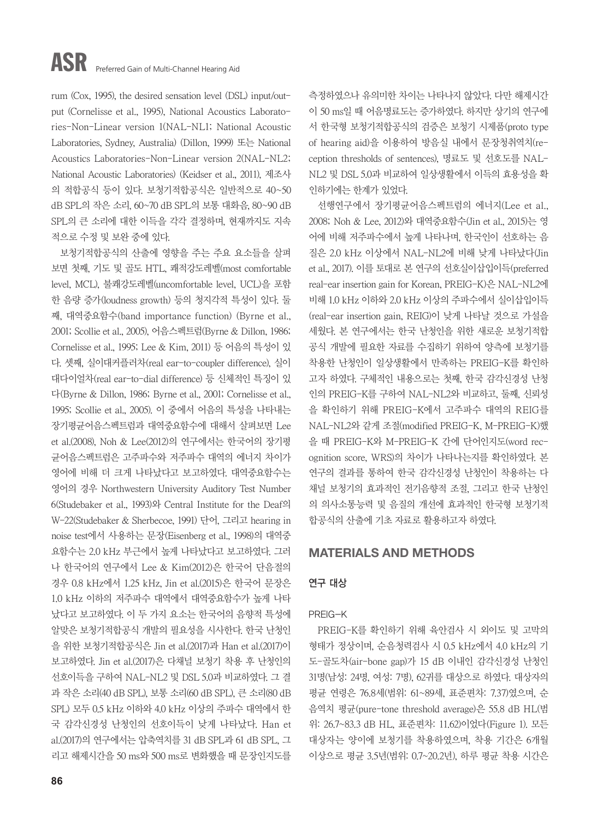rum (Cox, 1995), the desired sensation level (DSL) input/output (Cornelisse et al., 1995), National Acoustics Laboratories-Non-Linear version 1(NAL-NL1; National Acoustic Laboratories, Sydney, Australia) (Dillon, 1999) 또는 National Acoustics Laboratories-Non-Linear version 2(NAL-NL2; National Acoustic Laboratories) (Keidser et al., 2011), 제조사 의 적합공식 등이 있다. 보청기적합공식은 일반적으로 40~50 dB SPL의 작은 소리, 60~70 dB SPL의 보통 대화음, 80~90 dB SPL의 큰 소리에 대한 이득을 각각 결정하며, 현재까지도 지속 적으로 수정 및 보완 중에 있다.

보청기적합공식의 산출에 영향을 주는 주요 요소들을 살펴 보면 첫째, 기도 및 골도 HTL, 쾌적강도레벨(most comfortable level, MCL), 불쾌강도레벨(uncomfortable level, UCL)을 포함 한 음량 증가(loudness growth) 등의 청지각적 특성이 있다. 둘 째, 대역중요함수(band importance function) (Byrne et al., 2001; Scollie et al., 2005), 어음스펙트럼(Byrne & Dillon, 1986; Cornelisse et al., 1995; Lee & Kim, 2011) 등 어음의 특성이 있 다. 셋째, 실이대커플러차(real ear-to-coupler difference), 실이 대다이얼차(real ear-to-dial difference) 등 신체적인 특징이 있 다(Byrne & Dillon, 1986; Byrne et al., 2001; Cornelisse et al., 1995; Scollie et al., 2005). 이 중에서 어음의 특성을 나타내는 장기평균어음스펙트럼과 대역중요함수에 대해서 살펴보면 Lee et al.(2008), Noh & Lee(2012)의 연구에서는 한국어의 장기평 균어음스펙트럼은 고주파수와 저주파수 대역의 에너지 차이가 영어에 비해 더 크게 나타났다고 보고하였다. 대역중요함수는 영어의 경우 Northwestern University Auditory Test Number 6(Studebaker et al., 1993)와 Central Institute for the Deaf의 W-22(Studebaker & Sherbecoe, 1991) 단어, 그리고 hearing in noise test에서 사용하는 문장(Eisenberg et al., 1998)의 대역중 요함수는 2.0 kHz 부근에서 높게 나타났다고 보고하였다. 그러 나 한국어의 연구에서 Lee & Kim(2012)은 한국어 단음절의 경우 0.8 kHz에서 1.25 kHz, Jin et al.(2015)은 한국어 문장은 1.0 kHz 이하의 저주파수 대역에서 대역중요함수가 높게 나타 났다고 보고하였다. 이 두 가지 요소는 한국어의 음향적 특성에 알맞은 보청기적합공식 개발의 필요성을 시사한다. 한국 난청인 을 위한 보청기적합공식은 Jin et al.(2017)과 Han et al.(2017)이 보고하였다. Jin et al.(2017)은 다채널 보청기 착용 후 난청인의 선호이득을 구하여 NAL-NL2 및 DSL 5.0과 비교하였다. 그 결 과 작은 소리(40 dB SPL), 보통 소리(60 dB SPL), 큰 소리(80 dB SPL) 모두 0.5 kHz 이하와 4.0 kHz 이상의 주파수 대역에서 한 국 감각신경성 난청인의 선호이득이 낮게 나타났다. Han et al.(2017)의 연구에서는 압축역치를 31 dB SPL과 61 dB SPL, 그 리고 해제시간을 50 ms와 500 ms로 변화했을 때 문장인지도를

**86**

측정하였으나 유의미한 차이는 나타나지 않았다. 다만 해제시간 이 50 ms일 때 어음명료도는 증가하였다. 하지만 상기의 연구에 서 한국형 보청기적합공식의 검증은 보청기 시제품(proto type of hearing aid)을 이용하여 방음실 내에서 문장청취역치(reception thresholds of sentences), 명료도 및 선호도를 NAL-NL2 및 DSL 5.0과 비교하여 일상생활에서 이득의 효용성을 확 인하기에는 한계가 있었다.

선행연구에서 장기평균어음스펙트럼의 에너지(Lee et al., 2008; Noh & Lee, 2012)와 대역중요함수(Jin et al., 2015)는 영 어에 비해 저주파수에서 높게 나타나며, 한국인이 선호하는 음 질은 2.0 kHz 이상에서 NAL-NL2에 비해 낮게 나타났다(Jin et al., 2017). 이를 토대로 본 연구의 선호실이삽입이득(preferred real-ear insertion gain for Korean, PREIG-K)은 NAL-NL2에 비해 1.0 kHz 이하와 2.0 kHz 이상의 주파수에서 실이삽입이득 (real-ear insertion gain, REIG)이 낮게 나타날 것으로 가설을 세웠다. 본 연구에서는 한국 난청인을 위한 새로운 보청기적합 공식 개발에 필요한 자료를 수집하기 위하여 양측에 보청기를 착용한 난청인이 일상생활에서 만족하는 PREIG-K를 확인하 고자 하였다. 구체적인 내용으로는 첫째, 한국 감각신경성 난청 인의 PREIG-K를 구하여 NAL-NL2와 비교하고, 둘째, 신뢰성 을 확인하기 위해 PREIG-K에서 고주파수 대역의 REIG를 NAL-NL2와 같게 조절(modified PREIG-K, M-PREIG-K)했 을 때 PREIG-K와 M-PREIG-K 간에 단어인지도(word recognition score, WRS)의 차이가 나타나는지를 확인하였다. 본 연구의 결과를 통하여 한국 감각신경성 난청인이 착용하는 다 채널 보청기의 효과적인 전기음향적 조절, 그리고 한국 난청인 의 의사소통능력 및 음질의 개선에 효과적인 한국형 보청기적 합공식의 산출에 기초 자료로 활용하고자 하였다.

# MATERIALS AND METHODS

### 연구 대상

### PREIG-K

PREIG-K를 확인하기 위해 육안검사 시 외이도 및 고막의 형태가 정상이며, 순음청력검사 시 0.5 kHz에서 4.0 kHz의 기 도-골도차(air-bone gap)가 15 dB 이내인 감각신경성 난청인 31명(남성: 24명, 여성: 7명), 62귀를 대상으로 하였다. 대상자의 평균 연령은 76.8세(범위: 61~89세, 표준편차: 7.37)였으며, 순 음역치 평균(pure-tone threshold average)은 55.8 dB HL(범 위: 26.7~83.3 dB HL, 표준편차: 11.62)이었다(Figure 1). 모든 대상자는 양이에 보청기를 착용하였으며, 착용 기간은 6개월 이상으로 평균 3.5년(범위: 0.7~20.2년), 하루 평균 착용 시간은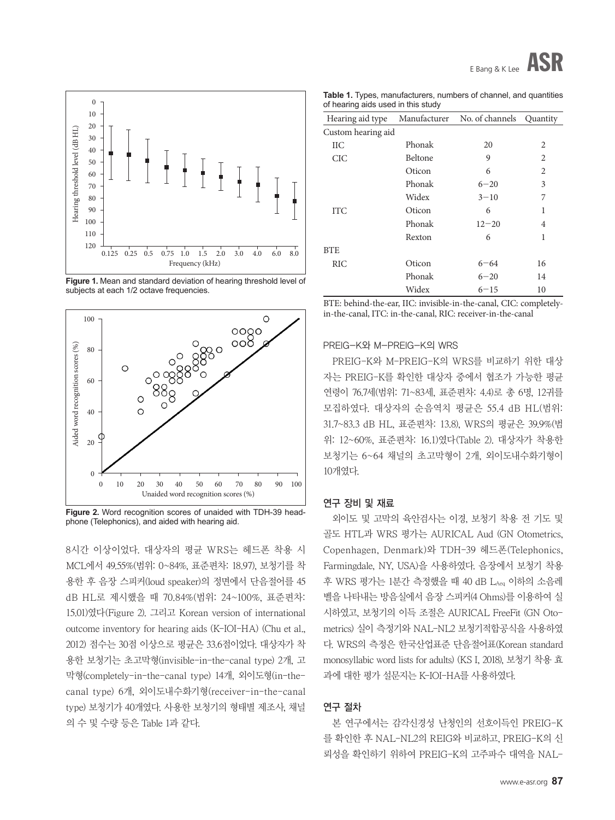

**Figure 1.** Mean and standard deviation of hearing threshold level of subjects at each 1/2 octave frequencies.



**Figure 2.** Word recognition scores of unaided with TDH-39 headphone (Telephonics), and aided with hearing aid.

8시간 이상이었다. 대상자의 평균 WRS는 헤드폰 착용 시 MCL에서 49.55%(범위: 0~84%, 표준편차: 18.97), 보청기를 착 용한 후 음장 스피커(loud speaker)의 정면에서 단음절어를 45 dB HL로 제시했을 때 70.84%(범위: 24~100%, 표준편차: 15.01)였다(Figure 2). 그리고 Korean version of international outcome inventory for hearing aids (K-IOI-HA) (Chu et al., 2012) 점수는 30점 이상으로 평균은 33.6점이었다. 대상자가 착 용한 보청기는 초고막형(invisible-in-the-canal type) 2개, 고 막형(completely-in-the-canal type) 14개, 외이도형(in-thecanal type) 6개, 외이도내수화기형(receiver-in-the-canal type) 보청기가 40개였다. 사용한 보청기의 형태별 제조사, 채널 의 수 및 수량 등은 Table 1과 같다.

**Table 1.** Types, manufacturers, numbers of channel, and quantities of hearing aids used in this study

| Hearing aid type   |                | Manufacturer No. of channels | Quantity       |
|--------------------|----------------|------------------------------|----------------|
| Custom hearing aid |                |                              |                |
| IІС                | Phonak         | 20                           | 2              |
| CIC                | <b>Beltone</b> | 9                            | $\overline{c}$ |
|                    | Oticon         | 6                            | $\overline{c}$ |
|                    | Phonak         | $6 - 20$                     | 3              |
|                    | Widex          | $3 - 10$                     | 7              |
| <b>ITC</b>         | Oticon         | 6                            | 1              |
|                    | Phonak         | $12 - 20$                    | 4              |
|                    | Rexton         | 6                            | 1              |
| <b>BTE</b>         |                |                              |                |
| <b>RIC</b>         | Oticon         | 6–64                         | 16             |
|                    | Phonak         | $6 - 20$                     | 14             |
|                    | Widex          | $6 - 15$                     | 10             |

BTE: behind-the-ear, IIC: invisible-in-the-canal, CIC: completelyin-the-canal, ITC: in-the-canal, RIC: receiver-in-the-canal

### PREIG-K와 M-PREIG-K의 WRS

PREIG-K와 M-PREIG-K의 WRS를 비교하기 위한 대상 자는 PREIG-K를 확인한 대상자 중에서 협조가 가능한 평균 연령이 76.7세(범위: 71~83세, 표준편차: 4.4)로 총 6명, 12귀를 모집하였다. 대상자의 순음역치 평균은 55.4 dB HL(범위: 31.7~83.3 dB HL, 표준편차: 13.8), WRS의 평균은 39.9%(범 위: 12~60%, 표준편차: 16.1)였다(Table 2). 대상자가 착용한 보청기는 6~64 채널의 초고막형이 2개, 외이도내수화기형이 10개였다.

### 연구 장비 및 재료

외이도 및 고막의 육안검사는 이경, 보청기 착용 전 기도 및 골도 HTL과 WRS 평가는 AURICAL Aud (GN Otometrics, Copenhagen, Denmark)와 TDH-39 헤드폰(Telephonics, Farmingdale, NY, USA)을 사용하였다. 음장에서 보청기 착용 후 WRS 평가는 1분간 측정했을 때 40 dB LAeq 이하의 소음레 벨을 나타내는 방음실에서 음장 스피커(4 Ohms)를 이용하여 실 시하였고, 보청기의 이득 조절은 AURICAL FreeFit (GN Otometrics) 실이 측정기와 NAL-NL2 보청기적합공식을 사용하였 다. WRS의 측정은 한국산업표준 단음절어표(Korean standard monosyllabic word lists for adults) (KS I, 2018), 보청기 착용 효 과에 대한 평가 설문지는 K-IOI-HA를 사용하였다.

### 연구 절차

본 연구에서는 감각신경성 난청인의 선호이득인 PREIG-K 를 확인한 후 NAL-NL2의 REIG와 비교하고, PREIG-K의 신 뢰성을 확인하기 위하여 PREIG-K의 고주파수 대역을 NAL-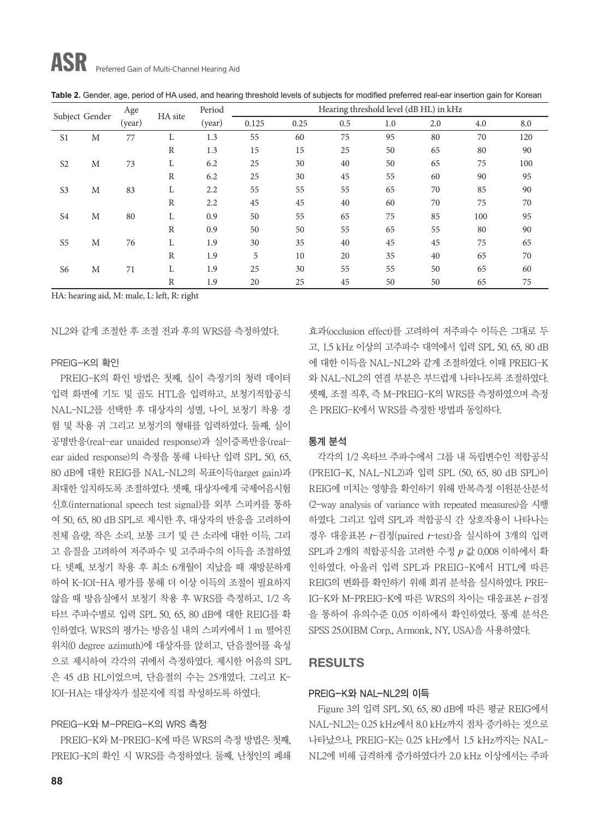| Subject Gender |        | Age     |              | Period | Hearing threshold level (dB HL) in kHz |     |     |     |     |     |     |
|----------------|--------|---------|--------------|--------|----------------------------------------|-----|-----|-----|-----|-----|-----|
|                | (year) | HA site | (year)       | 0.125  | 0.25                                   | 0.5 | 1.0 | 2.0 | 4.0 | 8.0 |     |
| S <sub>1</sub> | M      | 77      |              | 1.3    | 55                                     | 60  | 75  | 95  | 80  | 70  | 120 |
|                |        |         | R            | 1.3    | 15                                     | 15  | 25  | 50  | 65  | 80  | 90  |
| S <sub>2</sub> | M      | 73      | L            | 6.2    | 25                                     | 30  | 40  | 50  | 65  | 75  | 100 |
|                |        |         | R            | 6.2    | 25                                     | 30  | 45  | 55  | 60  | 90  | 95  |
| S <sub>3</sub> | M      | 83      | L            | 2.2    | 55                                     | 55  | 55  | 65  | 70  | 85  | 90  |
|                |        |         | R            | 2.2    | 45                                     | 45  | 40  | 60  | 70  | 75  | 70  |
| S <sub>4</sub> | M      | 80      | L            | 0.9    | 50                                     | 55  | 65  | 75  | 85  | 100 | 95  |
|                |        |         | $\mathbb{R}$ | 0.9    | 50                                     | 50  | 55  | 65  | 55  | 80  | 90  |
| S <sub>5</sub> | M      | 76      | L            | 1.9    | 30                                     | 35  | 40  | 45  | 45  | 75  | 65  |
|                |        |         | $\mathbb{R}$ | 1.9    | 5                                      | 10  | 20  | 35  | 40  | 65  | 70  |
| S <sub>6</sub> | M      | 71      | L            | 1.9    | 25                                     | 30  | 55  | 55  | 50  | 65  | 60  |
|                |        |         | $\mathbb R$  | 1.9    | 20                                     | 25  | 45  | 50  | 50  | 65  | 75  |

**Table 2.** Gender, age, period of HA used, and hearing threshold levels of subjects for modified preferred real-ear insertion gain for Korean

HA: hearing aid, M: male, L: left, R: right

NL2와 같게 조절한 후 조절 전과 후의 WRS를 측정하였다.

#### PREIG-K의 확인

PREIG-K의 확인 방법은 첫째, 실이 측정기의 청력 데이터 입력 화면에 기도 및 골도 HTL을 입력하고, 보청기적합공식 NAL-NL2를 선택한 후 대상자의 성별, 나이, 보청기 착용 경 험 및 착용 귀 그리고 보청기의 형태를 입력하였다. 둘째, 실이 공명반응(real-ear unaided response)과 실이증폭반응(realear aided response)의 측정을 통해 나타난 입력 SPL 50, 65, 80 dB에 대한 REIG를 NAL-NL2의 목표이득(target gain)과 최대한 일치하도록 조절하였다. 셋째, 대상자에게 국제어음시험 신호(international speech test signal)를 외부 스피커를 통하 여 50, 65, 80 dB SPL로 제시한 후, 대상자의 반응을 고려하여 전체 음량, 작은 소리, 보통 크기 및 큰 소리에 대한 이득, 그리 고 음질을 고려하여 저주파수 및 고주파수의 이득을 조절하였 다. 넷째, 보청기 착용 후 최소 6개월이 지났을 때 재방문하게 하여 K-IOI-HA 평가를 통해 더 이상 이득의 조절이 필요하지 않을 때 방음실에서 보청기 착용 후 WRS를 측정하고, 1/2 옥 타브 주파수별로 입력 SPL 50, 65, 80 dB에 대한 REIG를 확 인하였다. WRS의 평가는 방음실 내의 스피커에서 1 m 떨어진 위치(0 degree azimuth)에 대상자를 앉히고, 단음절어를 육성 으로 제시하여 각각의 귀에서 측정하였다. 제시한 어음의 SPL 은 45 dB HL이었으며, 단음절의 수는 25개였다. 그리고 K-IOI-HA는 대상자가 설문지에 직접 작성하도록 하였다.

#### PREIG-K와 M-PREIG-K의 WRS 측정

PREIG-K와 M-PREIG-K에 따른 WRS의 측정 방법은 첫째, PREIG-K의 확인 시 WRS를 측정하였다. 둘째, 난청인의 폐쇄 효과(occlusion effect)를 고려하여 저주파수 이득은 그대로 두 고, 1.5 kHz 이상의 고주파수 대역에서 입력 SPL 50, 65, 80 dB 에 대한 이득을 NAL-NL2와 같게 조절하였다. 이때 PREIG-K 와 NAL-NL2의 연결 부분은 부드럽게 나타나도록 조절하였다. 셋째, 조절 직후, 즉 M-PREIG-K의 WRS를 측정하였으며 측정 은 PREIG-K에서 WRS를 측정한 방법과 동일하다.

#### 통계 분석

각각의 1/2 옥타브 주파수에서 그룹 내 독립변수인 적합공식 (PREIG-K, NAL-NL2)과 입력 SPL (50, 65, 80 dB SPL)이 REIG에 미치는 영향을 확인하기 위해 반복측정 이원분산분석 (2-way analysis of variance with repeated measures)을 시행 하였다. 그리고 입력 SPL과 적합공식 간 상호작용이 나타나는 경우 대응표본 *t*-검정(paired *t*-test)을 실시하여 3개의 입력 SPL과 2개의 적합공식을 고려한 수정 *p* 값 0.008 이하에서 확 인하였다. 아울러 입력 SPL과 PREIG-K에서 HTL에 따른 REIG의 변화를 확인하기 위해 회귀 분석을 실시하였다. PRE-IG-K와 M-PREIG-K에 따른 WRS의 차이는 대응표본 *t*-검정 을 통하여 유의수준 0.05 이하에서 확인하였다. 통계 분석은 SPSS 25.0(IBM Corp., Armonk, NY, USA)을 사용하였다.

# **RESULTS**

#### PREIG-K와 NAL-NL2의 이득

Figure 3의 입력 SPL 50, 65, 80 dB에 따른 평균 REIG에서 NAL-NL2는 0.25 kHz에서 8.0 kHz까지 점차 증가하는 것으로 나타났으나, PREIG-K는 0.25 kHz에서 1.5 kHz까지는 NAL-NL2에 비해 급격하게 증가하였다가 2.0 kHz 이상에서는 주파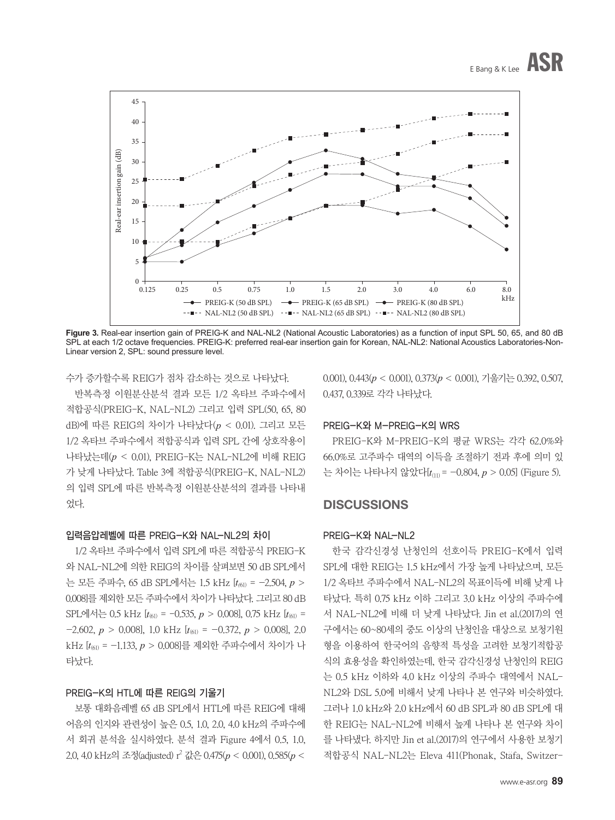

**Figure 3.** Real-ear insertion gain of PREIG-K and NAL-NL2 (National Acoustic Laboratories) as a function of input SPL 50, 65, and 80 dB SPL at each 1/2 octave frequencies. PREIG-K: preferred real-ear insertion gain for Korean, NAL-NL2: National Acoustics Laboratories-Non-Linear version 2, SPL: sound pressure level.

수가 증가할수록 REIG가 점차 감소하는 것으로 나타났다.

반복측정 이원분산분석 결과 모든 1/2 옥타브 주파수에서 적합공식(PREIG-K, NAL-NL2) 그리고 입력 SPL(50, 65, 80 dB)에 따른 REIG의 차이가 나타났다(*p* < 0.01). 그리고 모든 1/2 옥타브 주파수에서 적합공식과 입력 SPL 간에 상호작용이 나타났는데(*p* < 0.01), PREIG-K는 NAL-NL2에 비해 REIG 가 낮게 나타났다. Table 3에 적합공식(PREIG-K, NAL-NL2) 의 입력 SPL에 따른 반복측정 이원분산분석의 결과를 나타내 었다.

### 입력음압레벨에 따른 PREIG-K와 NAL-NL2의 차이

1/2 옥타브 주파수에서 입력 SPL에 따른 적합공식 PREIG-K 와 NAL-NL2에 의한 REIG의 차이를 살펴보면 50 dB SPL에서 는 모든 주파수, 65 dB SPL에서는 1.5 kHz [*t(*61) = -2.504, *p* > 0.008]를 제외한 모든 주파수에서 차이가 나타났다. 그리고 80 dB SPL에서는 0.5 kHz [*t*(61) = -0.535, *p* > 0.008], 0.75 kHz [*t*(61) =  $-2.602, p > 0.008$ , 1.0 kHz  $[t_{(61)} = -0.372, p > 0.008]$ , 2.0 kHz [*t*(61) = -1.133, *p* > 0.008]를 제외한 주파수에서 차이가 나 타났다.

#### PREIG-K의 HTL에 따른 REIG의 기울기

보통 대화음레벨 65 dB SPL에서 HTL에 따른 REIG에 대해 어음의 인지와 관련성이 높은 0.5, 1.0, 2.0, 4.0 kHz의 주파수에 서 회귀 분석을 실시하였다. 분석 결과 Figure 4에서 0.5, 1.0, 2.0, 4.0 kHz의 조정(adjusted) r2 값은 0.475(*p* < 0.001), 0.585(*p* < 0.001), 0.443(*p* < 0.001), 0.373(*p* < 0.001), 기울기는 0.392, 0.507, 0.437, 0.339로 각각 나타났다.

#### PREIG-K와 M-PREIG-K의 WRS

PREIG-K와 M-PREIG-K의 평균 WRS는 각각 62.0%와 66.0%로 고주파수 대역의 이득을 조절하기 전과 후에 의미 있 는 차이는 나타나지 않았다[*t*(11) = -0.804, *p* > 0.05] (Figure 5).

# **DISCUSSIONS**

#### PREIG-K와 NAL-NL2

한국 감각신경성 난청인의 선호이득 PREIG-K에서 입력 SPL에 대한 REIG는 1.5 kHz에서 가장 높게 나타났으며, 모든 1/2 옥타브 주파수에서 NAL-NL2의 목표이득에 비해 낮게 나 타났다. 특히 0.75 kHz 이하 그리고 3.0 kHz 이상의 주파수에 서 NAL-NL2에 비해 더 낮게 나타났다. Jin et al.(2017)의 연 구에서는 60~80세의 중도 이상의 난청인을 대상으로 보청기원 형을 이용하여 한국어의 음향적 특성을 고려한 보청기적합공 식의 효용성을 확인하였는데, 한국 감각신경성 난청인의 REIG 는 0.5 kHz 이하와 4.0 kHz 이상의 주파수 대역에서 NAL-NL2와 DSL 5.0에 비해서 낮게 나타나 본 연구와 비슷하였다. 그러나 1.0 kHz와 2.0 kHz에서 60 dB SPL과 80 dB SPL에 대 한 REIG는 NAL-NL2에 비해서 높게 나타나 본 연구와 차이 를 나타냈다. 하지만 Jin et al.(2017)의 연구에서 사용한 보청기 적합공식 NAL-NL2는 Eleva 411(Phonak, Sta ¨fa, Switzer-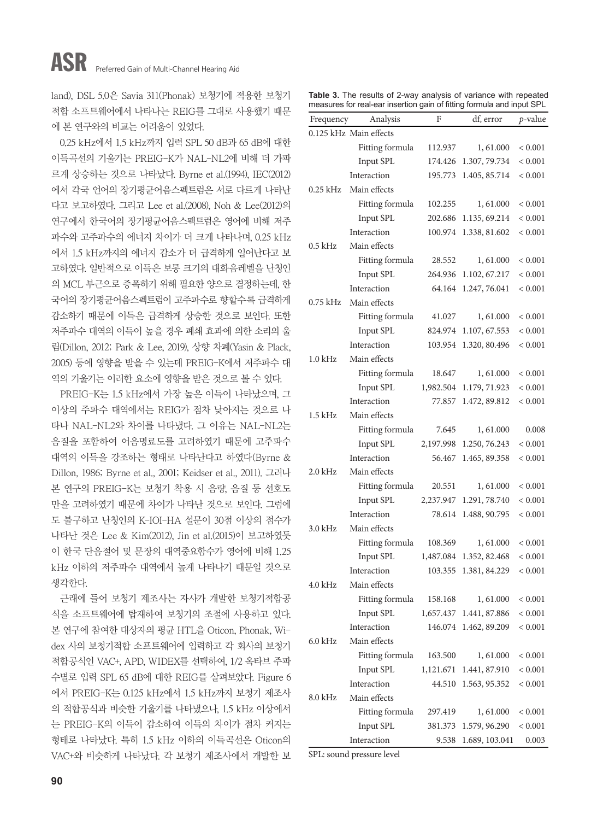land), DSL 5.0은 Savia 311(Phonak) 보청기에 적용한 보청기 적합 소프트웨어에서 나타나는 REIG를 그대로 사용했기 때문 에 본 연구와의 비교는 어려움이 있었다.

0.25 kHz에서 1.5 kHz까지 입력 SPL 50 dB과 65 dB에 대한 이득곡선의 기울기는 PREIG-K가 NAL-NL2에 비해 더 가파 르게 상승하는 것으로 나타났다. Byrne et al.(1994), IEC(2012) 에서 각국 언어의 장기평균어음스펙트럼은 서로 다르게 나타난 다고 보고하였다. 그리고 Lee et al.(2008), Noh & Lee(2012)의 연구에서 한국어의 장기평균어음스펙트럼은 영어에 비해 저주 파수와 고주파수의 에너지 차이가 더 크게 나타나며, 0.25 kHz 에서 1.5 kHz까지의 에너지 감소가 더 급격하게 일어난다고 보 고하였다. 일반적으로 이득은 보통 크기의 대화음레벨을 난청인 의 MCL 부근으로 증폭하기 위해 필요한 양으로 결정하는데, 한 국어의 장기평균어음스펙트럼이 고주파수로 향할수록 급격하게 감소하기 때문에 이득은 급격하게 상승한 것으로 보인다. 또한 저주파수 대역의 이득이 높을 경우 폐쇄 효과에 의한 소리의 울 림(Dillon, 2012; Park & Lee, 2019), 상향 차폐(Yasin & Plack, 2005) 등에 영향을 받을 수 있는데 PREIG-K에서 저주파수 대 역의 기울기는 이러한 요소에 영향을 받은 것으로 볼 수 있다.

PREIG-K는 1.5 kHz에서 가장 높은 이득이 나타났으며, 그 이상의 주파수 대역에서는 REIG가 점차 낮아지는 것으로 나 타나 NAL-NL2와 차이를 나타냈다. 그 이유는 NAL-NL2는 음질을 포함하여 어음명료도를 고려하였기 때문에 고주파수 대역의 이득을 강조하는 형태로 나타난다고 하였다(Byrne & Dillon, 1986; Byrne et al., 2001; Keidser et al., 2011). 그러나 본 연구의 PREIG-K는 보청기 착용 시 음량, 음질 등 선호도 만을 고려하였기 때문에 차이가 나타난 것으로 보인다. 그럼에 도 불구하고 난청인의 K-IOI-HA 설문이 30점 이상의 점수가 나타난 것은 Lee & Kim(2012), Jin et al.(2015)이 보고하였듯 이 한국 단음절어 및 문장의 대역중요함수가 영어에 비해 1.25 kHz 이하의 저주파수 대역에서 높게 나타나기 때문일 것으로 생각한다.

근래에 들어 보청기 제조사는 자사가 개발한 보청기적합공 식을 소프트웨어에 탑재하여 보청기의 조절에 사용하고 있다. 본 연구에 참여한 대상자의 평균 HTL을 Oticon, Phonak, Widex 사의 보청기적합 소프트웨어에 입력하고 각 회사의 보청기 적합공식인 VAC+, APD, WIDEX를 선택하여, 1/2 옥타브 주파 수별로 입력 SPL 65 dB에 대한 REIG를 살펴보았다. Figure 6 에서 PREIG-K는 0.125 kHz에서 1.5 kHz까지 보청기 제조사 의 적합공식과 비슷한 기울기를 나타냈으나, 1.5 kHz 이상에서 는 PREIG-K의 이득이 감소하여 이득의 차이가 점차 커지는 형태로 나타났다. 특히 1.5 kHz 이하의 이득곡선은 Oticon의 VAC+와 비슷하게 나타났다. 각 보청기 제조사에서 개발한 보

|  |  |                                                                       |  | Table 3. The results of 2-way analysis of variance with repeated |
|--|--|-----------------------------------------------------------------------|--|------------------------------------------------------------------|
|  |  | measures for real-ear insertion gain of fitting formula and input SPL |  |                                                                  |

| Frequency  | Analysis               | F         | df, error      | $p$ -value  |
|------------|------------------------|-----------|----------------|-------------|
|            | 0.125 kHz Main effects |           |                |             |
|            | Fitting formula        | 112.937   | 1,61.000       | ${}< 0.001$ |
|            | Input SPL              | 174.426   | 1.307, 79.734  | ${}< 0.001$ |
|            | Interaction            | 195.773   | 1.405, 85.714  | ${}< 0.001$ |
| $0.25$ kHz | Main effects           |           |                |             |
|            | Fitting formula        | 102.255   | 1,61.000       | < 0.001     |
|            | Input SPL              | 202.686   | 1.135, 69.214  | < 0.001     |
|            | Interaction            | 100.974   | 1.338, 81.602  | ${}< 0.001$ |
| 0.5 kHz    | Main effects           |           |                |             |
|            | Fitting formula        | 28.552    | 1,61.000       | < 0.001     |
|            | Input SPL              | 264.936   | 1.102, 67.217  | < 0.001     |
|            | Interaction            | 64.164    | 1.247, 76.041  | < 0.001     |
| 0.75 kHz   | Main effects           |           |                |             |
|            | Fitting formula        | 41.027    | 1,61.000       | < 0.001     |
|            | Input SPL              | 824.974   | 1.107, 67.553  | ${}< 0.001$ |
|            | Interaction            | 103.954   | 1.320, 80.496  | ${}< 0.001$ |
| $1.0$ kHz  | Main effects           |           |                |             |
|            | Fitting formula        | 18.647    | 1,61.000       | < 0.001     |
|            | Input SPL              | 1,982.504 | 1.179, 71.923  | ${}< 0.001$ |
|            | Interaction            | 77.857    | 1.472, 89.812  | ${}< 0.001$ |
| 1.5 kHz    | Main effects           |           |                |             |
|            | Fitting formula        | 7.645     | 1,61.000       | 0.008       |
|            | Input SPL              | 2,197.998 | 1.250, 76.243  | ${}< 0.001$ |
|            | Interaction            | 56.467    | 1.465, 89.358  | < 0.001     |
| $2.0$ kHz  | Main effects           |           |                |             |
|            | Fitting formula        | 20.551    | 1,61.000       | < 0.001     |
|            | Input SPL              | 2,237.947 | 1.291, 78.740  | < 0.001     |
|            | Interaction            | 78.614    | 1.488, 90.795  | ${}< 0.001$ |
| 3.0 kHz    | Main effects           |           |                |             |
|            | Fitting formula        | 108.369   | 1,61.000       | < 0.001     |
|            | Input SPL              | 1,487.084 | 1.352, 82.468  | < 0.001     |
|            | Interaction            | 103.355   | 1.381, 84.229  | $< 0.001\,$ |
| 4.0 kHz    | Main effects           |           |                |             |
|            | Fitting formula        | 158.168   | 1,61.000       | < 0.001     |
|            | Input SPL              | 1,657.437 | 1.441, 87.886  | ${}< 0.001$ |
|            | Interaction            | 146.074   | 1.462, 89.209  | < 0.001     |
| $6.0$ kHz  | Main effects           |           |                |             |
|            | Fitting formula        | 163.500   | 1,61.000       | < 0.001     |
|            | Input SPL              | 1,121.671 | 1.441, 87.910  | < 0.001     |
|            | Interaction            | 44.510    | 1.563, 95.352  | < 0.001     |
| 8.0 kHz    | Main effects           |           |                |             |
|            | Fitting formula        | 297.419   | 1,61.000       | < 0.001     |
|            | Input SPL              | 381.373   | 1.579, 96.290  | < 0.001     |
|            | Interaction            | 9.538     | 1.689, 103.041 | 0.003       |

SPL: sound pressure level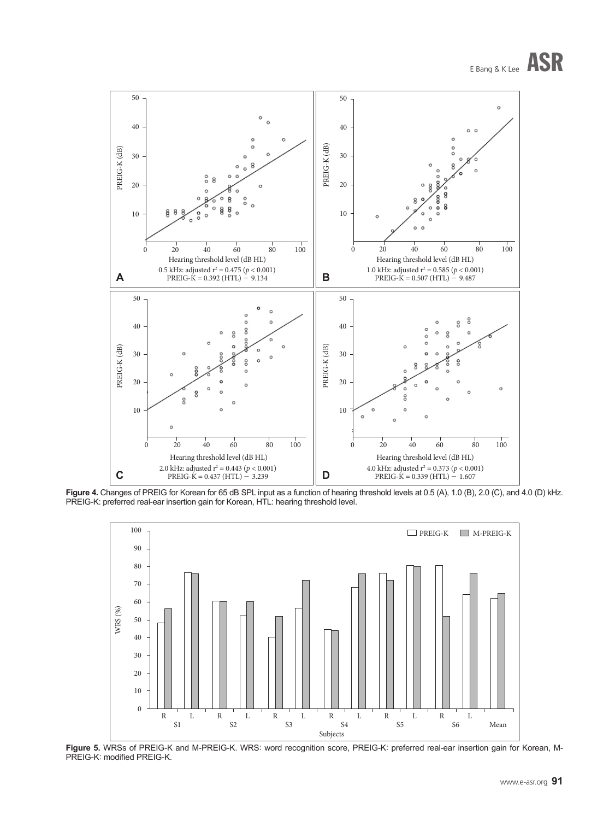# E Bang & K Lee ASR



Figure 4. Changes of PREIG for Korean for 65 dB SPL input as a function of hearing threshold levels at 0.5 (A), 1.0 (B), 2.0 (C), and 4.0 (D) kHz. PREIG-K: preferred real-ear insertion gain for Korean, HTL: hearing threshold level.



**Figure 5.** WRSs of PREIG-K and M-PREIG-K. WRS: word recognition score, PREIG-K: preferred real-ear insertion gain for Korean, M-PREIG-K: modified PREIG-K.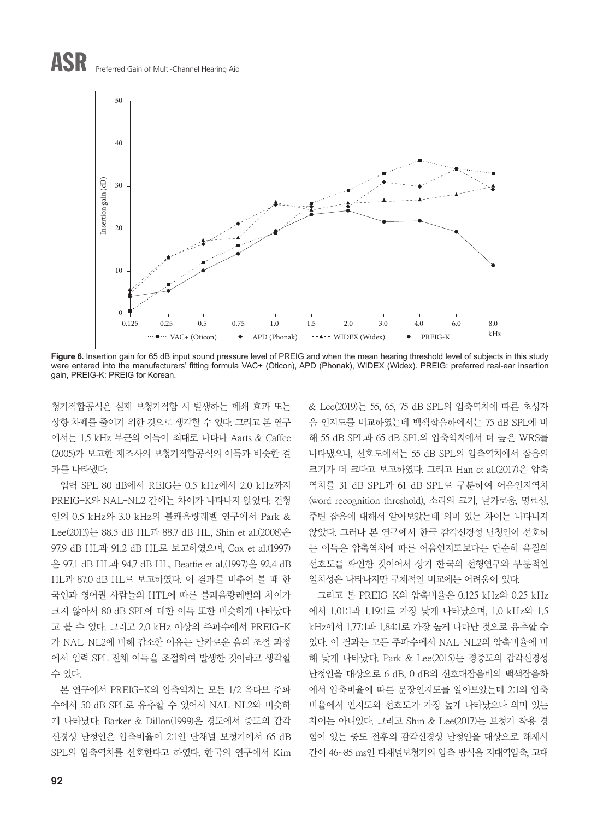

Figure 6. Insertion gain for 65 dB input sound pressure level of PREIG and when the mean hearing threshold level of subjects in this study were entered into the manufacturers' fitting formula VAC+ (Oticon), APD (Phonak), WIDEX (Widex). PREIG: preferred real-ear insertion gain, PREIG-K: PREIG for Korean.

청기적합공식은 실제 보청기적합 시 발생하는 폐쇄 효과 또는 상향 차폐를 줄이기 위한 것으로 생각할 수 있다. 그리고 본 연구 에서는 1.5 kHz 부근의 이득이 최대로 나타나 Aarts & Caffee (2005)가 보고한 제조사의 보청기적합공식의 이득과 비슷한 결 과를 나타냈다.

입력 SPL 80 dB에서 REIG는 0.5 kHz에서 2.0 kHz까지 PREIG-K와 NAL-NL2 간에는 차이가 나타나지 않았다. 건청 인의 0.5 kHz와 3.0 kHz의 불쾌음량레벨 연구에서 Park & Lee(2013)는 88.5 dB HL과 88.7 dB HL, Shin et al.(2008)은 97.9 dB HL과 91.2 dB HL로 보고하였으며, Cox et al.(1997) 은 97.1 dB HL과 94.7 dB HL, Beattie et al.(1997)은 92.4 dB HL과 87.0 dB HL로 보고하였다. 이 결과를 비추어 볼 때 한 국인과 영어권 사람들의 HTL에 따른 불쾌음량레벨의 차이가 크지 않아서 80 dB SPL에 대한 이득 또한 비슷하게 나타났다 고 볼 수 있다. 그리고 2.0 kHz 이상의 주파수에서 PREIG-K 가 NAL-NL2에 비해 감소한 이유는 날카로운 음의 조절 과정 에서 입력 SPL 전체 이득을 조절하여 발생한 것이라고 생각할 수 있다.

본 연구에서 PREIG-K의 압축역치는 모든 1/2 옥타브 주파 수에서 50 dB SPL로 유추할 수 있어서 NAL-NL2와 비슷하 게 나타났다. Barker & Dillon(1999)은 경도에서 중도의 감각 신경성 난청인은 압축비율이 2:1인 단채널 보청기에서 65 dB SPL의 압축역치를 선호한다고 하였다. 한국의 연구에서 Kim & Lee(2019)는 55, 65, 75 dB SPL의 압축역치에 따른 초성자 음 인지도를 비교하였는데 백색잡음하에서는 75 dB SPL에 비 해 55 dB SPL과 65 dB SPL의 압축역치에서 더 높은 WRS를 나타냈으나, 선호도에서는 55 dB SPL의 압축역치에서 잡음의 크기가 더 크다고 보고하였다. 그리고 Han et al.(2017)은 압축 역치를 31 dB SPL과 61 dB SPL로 구분하여 어음인지역치 (word recognition threshold), 소리의 크기, 날카로움, 명료성, 주변 잡음에 대해서 알아보았는데 의미 있는 차이는 나타나지 않았다. 그러나 본 연구에서 한국 감각신경성 난청인이 선호하 는 이득은 압축역치에 따른 어음인지도보다는 단순히 음질의 선호도를 확인한 것이어서 상기 한국의 선행연구와 부분적인 일치성은 나타나지만 구체적인 비교에는 어려움이 있다.

그리고 본 PREIG-K의 압축비율은 0.125 kHz와 0.25 kHz 에서 1.01:1과 1.19:1로 가장 낮게 나타났으며, 1.0 kHz와 1.5 kHz에서 1.77:1과 1.84:1로 가장 높게 나타난 것으로 유추할 수 있다. 이 결과는 모든 주파수에서 NAL-NL2의 압축비율에 비 해 낮게 나타났다. Park & Lee(2015)는 경중도의 감각신경성 난청인을 대상으로 6 dB, 0 dB의 신호대잡음비의 백색잡음하 에서 압축비율에 따른 문장인지도를 알아보았는데 2:1의 압축 비율에서 인지도와 선호도가 가장 높게 나타났으나 의미 있는 차이는 아니었다. 그리고 Shin & Lee(2017)는 보청기 착용 경 험이 있는 중도 전후의 감각신경성 난청인을 대상으로 해제시 간이 46~85 ms인 다채널보청기의 압축 방식을 저대역압축, 고대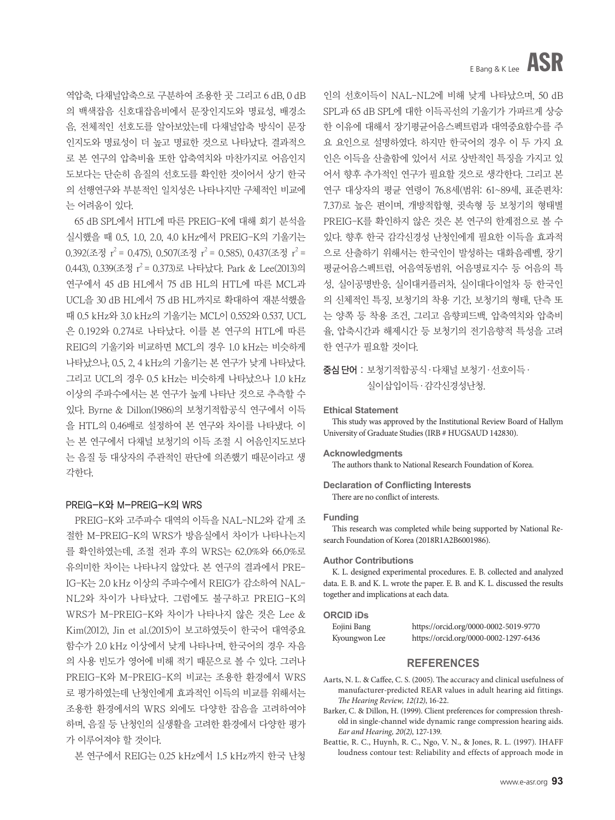역압축, 다채널압축으로 구분하여 조용한 곳 그리고 6 dB, 0 dB 의 백색잡음 신호대잡음비에서 문장인지도와 명료성, 배경소 음, 전체적인 선호도를 알아보았는데 다채널압축 방식이 문장 인지도와 명료성이 더 높고 명료한 것으로 나타났다. 결과적으 로 본 연구의 압축비율 또한 압축역치와 마찬가지로 어음인지 도보다는 단순히 음질의 선호도를 확인한 것이어서 상기 한국 의 선행연구와 부분적인 일치성은 나타나지만 구체적인 비교에 는 어려움이 있다.

65 dB SPL에서 HTL에 따른 PREIG-K에 대해 회기 분석을 실시했을 때 0.5, 1.0, 2.0, 4.0 kHz에서 PREIG-K의 기울기는  $0.392$ (조정  $r^2$  = 0.475),  $0.507$ (조정  $r^2$  = 0.585),  $0.437$ (조정  $r^2$  = 0.443), 0.339(조정  $r^2$  = 0.373)로 나타났다. Park & Lee(2013)의 연구에서 45 dB HL에서 75 dB HL의 HTL에 따른 MCL과 UCL을 30 dB HL에서 75 dB HL까지로 확대하여 재분석했을 때 0.5 kHz와 3.0 kHz의 기울기는 MCL이 0.552와 0.537, UCL 은 0.192와 0.274로 나타났다. 이를 본 연구의 HTL에 따른 REIG의 기울기와 비교하면 MCL의 경우 1.0 kHz는 비슷하게 나타났으나, 0.5, 2, 4 kHz의 기울기는 본 연구가 낮게 나타났다. 그리고 UCL의 경우 0.5 kHz는 비슷하게 나타났으나 1.0 kHz 이상의 주파수에서는 본 연구가 높게 나타난 것으로 추측할 수 있다. Byrne & Dillon(1986)의 보청기적합공식 연구에서 이득 을 HTL의 0.46배로 설정하여 본 연구와 차이를 나타냈다. 이 는 본 연구에서 다채널 보청기의 이득 조절 시 어음인지도보다 는 음질 등 대상자의 주관적인 판단에 의존했기 때문이라고 생 각한다.

#### PREIG-K와 M-PREIG-K의 WRS

PREIG-K와 고주파수 대역의 이득을 NAL-NL2와 같게 조 절한 M-PREIG-K의 WRS가 방음실에서 차이가 나타나는지 를 확인하였는데, 조절 전과 후의 WRS는 62.0%와 66.0%로 유의미한 차이는 나타나지 않았다. 본 연구의 결과에서 PRE-IG-K는 2.0 kHz 이상의 주파수에서 REIG가 감소하여 NAL-NL2와 차이가 나타났다. 그럼에도 불구하고 PREIG-K의 WRS가 M-PREIG-K와 차이가 나타나지 않은 것은 Lee & Kim(2012), Jin et al.(2015)이 보고하였듯이 한국어 대역중요 함수가 2.0 kHz 이상에서 낮게 나타나며, 한국어의 경우 자음 의 사용 빈도가 영어에 비해 적기 때문으로 볼 수 있다. 그러나 PREIG-K와 M-PREIG-K의 비교는 조용한 환경에서 WRS 로 평가하였는데 난청인에게 효과적인 이득의 비교를 위해서는 조용한 환경에서의 WRS 외에도 다양한 잡음을 고려하여야 하며, 음질 등 난청인의 실생활을 고려한 환경에서 다양한 평가 가 이루어져야 할 것이다.

본 연구에서 REIG는 0.25 kHz에서 1.5 kHz까지 한국 난청

인의 선호이득이 NAL-NL2에 비해 낮게 나타났으며, 50 dB SPL과 65 dB SPL에 대한 이득곡선의 기울기가 가파르게 상승 한 이유에 대해서 장기평균어음스펙트럼과 대역중요함수를 주 요 요인으로 설명하였다. 하지만 한국어의 경우 이 두 가지 요 인은 이득을 산출함에 있어서 서로 상반적인 특징을 가지고 있 어서 향후 추가적인 연구가 필요할 것으로 생각한다. 그리고 본 연구 대상자의 평균 연령이 76.8세(범위: 61~89세, 표준편차: 7.37)로 높은 편이며, 개방적합형, 귓속형 등 보청기의 형태별 PREIG-K를 확인하지 않은 것은 본 연구의 한계점으로 볼 수 있다. 향후 한국 감각신경성 난청인에게 필요한 이득을 효과적 으로 산출하기 위해서는 한국인이 발성하는 대화음레벨, 장기 평균어음스펙트럼, 어음역동범위, 어음명료지수 등 어음의 특 성, 실이공명반응, 실이대커플러차, 실이대다이얼차 등 한국인 의 신체적인 특징, 보청기의 착용 기간, 보청기의 형태, 단측 또 는 양쪽 등 착용 조건, 그리고 음향피드백, 압축역치와 압축비 율, 압축시간과 해제시간 등 보청기의 전기음향적 특성을 고려 한 연구가 필요할 것이다.

# 증심 단어 : 보청기적합공식·다채널 보청기·선호이득· 실이삽입이득·감각신경성난청.

#### **Ethical Statement**

This study was approved by the Institutional Review Board of Hallym University of Graduate Studies (IRB # HUGSAUD 142830).

#### **Acknowledgments**

The authors thank to National Research Foundation of Korea.

#### **Declaration of Conflicting Interests** There are no conflict of interests.

#### **Funding**

This research was completed while being supported by National Research Foundation of Korea (2018R1A2B6001986).

#### **Author Contributions**

K. L. designed experimental procedures. E. B. collected and analyzed data. E. B. and K. L. wrote the paper. E. B. and K. L. discussed the results together and implications at each data.

### **ORCID iDs**

| Eojini Bang   | https://orcid.org/0000-0002-5019-9770 |
|---------------|---------------------------------------|
| Kyoungwon Lee | https://orcid.org/0000-0002-1297-6436 |

### **REFERENCES**

- Aarts, N. L. & Caffee, C. S. (2005). The accuracy and clinical usefulness of manufacturer-predicted REAR values in adult hearing aid fittings. *The Hearing Review, 12(12)*, 16-22.
- Barker, C. & Dillon, H. (1999). Client preferences for compression threshold in single-channel wide dynamic range compression hearing aids. *Ear and Hearing, 20(2)*, 127-139.
- Beattie, R. C., Huynh, R. C., Ngo, V. N., & Jones, R. L. (1997). IHAFF loudness contour test: Reliability and effects of approach mode in